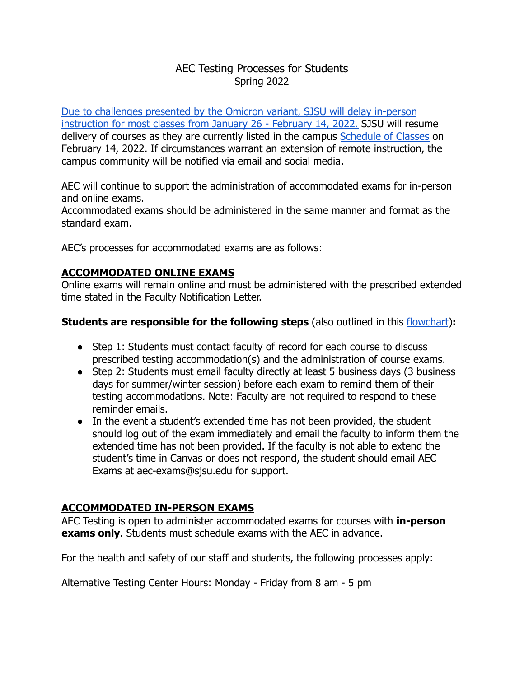# AEC Testing Processes for Students Spring 2022

[Due to challenges presented by the Omicron variant, SJSU will delay in-person](https://www.sjsu.edu/healthadvisories/resources/campus-messages/index.php) [instruction for most classes from January 26 - February 14, 2022](https://www.sjsu.edu/healthadvisories/resources/campus-messages/index.php). SJSU will resume delivery of courses as they are currently listed in the campus [Schedule of Classes](https://www.sjsu.edu/classes/) on February 14, 2022. If circumstances warrant an extension of remote instruction, the campus community will be notified via email and social media.

AEC will continue to support the administration of accommodated exams for in-person and online exams.

Accommodated exams should be administered in the same manner and format as the standard exam.

AEC's processes for accommodated exams are as follows:

#### **ACCOMMODATED ONLINE EXAMS**

Online exams will remain online and must be administered with the prescribed extended time stated in the Faculty Notification Letter.

#### **Students are responsible for the following steps** (also outlined in this [flowchart](https://www.sjsu.edu/aec/docs/Steps%20for%20Using%20Testing%20Accommodations%20Flowchart%20Spring%202022.pdf))**:**

- Step 1: Students must contact faculty of record for each course to discuss prescribed testing accommodation(s) and the administration of course exams.
- Step 2: Students must email faculty directly at least 5 business days (3 business days for summer/winter session) before each exam to remind them of their testing accommodations. Note: Faculty are not required to respond to these reminder emails.
- In the event a student's extended time has not been provided, the student should log out of the exam immediately and email the faculty to inform them the extended time has not been provided. If the faculty is not able to extend the student's time in Canvas or does not respond, the student should email AEC Exams at aec-exams@sjsu.edu for support.

# **ACCOMMODATED IN-PERSON EXAMS**

AEC Testing is open to administer accommodated exams for courses with **in-person exams only**. Students must schedule exams with the AEC in advance.

For the health and safety of our staff and students, the following processes apply:

Alternative Testing Center Hours: Monday - Friday from 8 am - 5 pm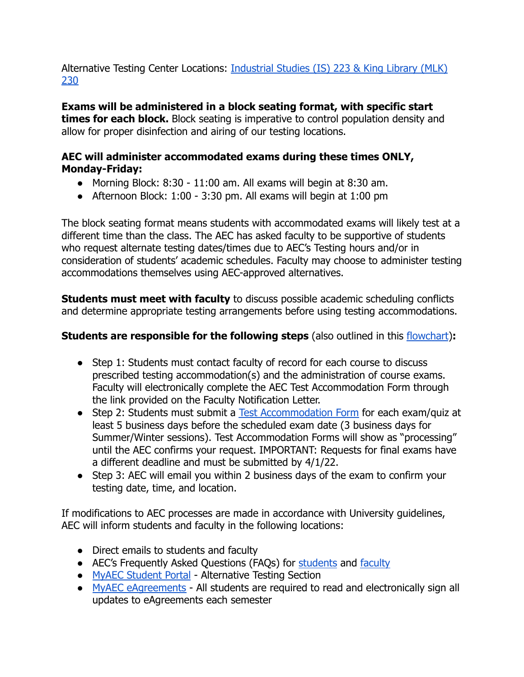Alternative Testing Center Locations: [Industrial Studies \(IS\) 223 & King Library \(MLK\)](https://www.sjsu.edu/map/) [230](https://www.sjsu.edu/map/)

**Exams will be administered in a block seating format, with specific start times for each block.** Block seating is imperative to control population density and allow for proper disinfection and airing of our testing locations.

# **AEC will administer accommodated exams during these times ONLY, Monday-Friday:**

- Morning Block: 8:30 11:00 am. All exams will begin at 8:30 am.
- $\bullet$  Afternoon Block: 1:00 3:30 pm. All exams will begin at 1:00 pm

The block seating format means students with accommodated exams will likely test at a different time than the class. The AEC has asked faculty to be supportive of students who request alternate testing dates/times due to AEC's Testing hours and/or in consideration of students' academic schedules. Faculty may choose to administer testing accommodations themselves using AEC-approved alternatives.

**Students must meet with faculty** to discuss possible academic scheduling conflicts and determine appropriate testing arrangements before using testing accommodations.

#### **Students are responsible for the following steps** (also outlined in this [flowchart](https://www.sjsu.edu/aec/docs/Steps%20for%20Using%20Testing%20Accommodations%20Flowchart%20Spring%202022.pdf)):

- Step 1: Students must contact faculty of record for each course to discuss prescribed testing accommodation(s) and the administration of course exams. Faculty will electronically complete the AEC Test Accommodation Form through the link provided on the Faculty Notification Letter.
- Step 2: Students must submit a [Test Accommodation](https://www.youtube.com/watch?v=cUATAOkbUBc&list=PLtHfE8CVNN4EI_x6zASh7BFzldHR8oc9F&index=5) Form for each exam/quiz at least 5 business days before the scheduled exam date (3 business days for Summer/Winter sessions). Test Accommodation Forms will show as "processing" until the AEC confirms your request. IMPORTANT: Requests for final exams have a different deadline and must be submitted by 4/1/22.
- Step 3: AEC will email you within 2 business days of the exam to confirm your testing date, time, and location.

If modifications to AEC processes are made in accordance with University guidelines, AEC will inform students and faculty in the following locations:

- Direct emails to students and faculty
- AEC's Frequently Asked Questions (FAQs) for [students](https://www.sjsu.edu/aec/about/faq/current-students.php#currentstdtestaccoms) and [faculty](https://www.sjsu.edu/aec/about/faq/faculty-faq.php#facultytestaccom)
- [MyAEC Student Portal](https://hood.accessiblelearning.com/sjsu/) Alternative Testing Section
- [MyAEC eAgreements](https://www.youtube.com/watch?v=Id5DdVb4q8U&t=9s) All students are required to read and electronically sign all updates to eAgreements each semester